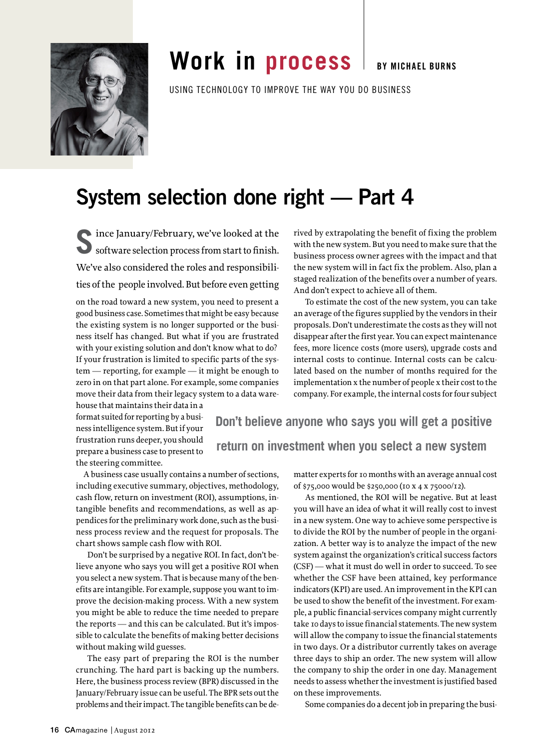

## **work in process**

**By Michael Burns**

USING TECHNOLOGY TO IMPROVE THE WAY YOU DO BUSINESS

## **System selection done right — Part 4**

software selection process from start to finish. software selection process from start to finish. We've also considered the roles and responsibilities of the people involved. But before even getting

on the road toward a new system, you need to present a good business case. Sometimes that might be easy because the existing system is no longer supported or the business itself has changed. But what if you are frustrated with your existing solution and don't know what to do? If your frustration is limited to specific parts of the system — reporting, for example — it might be enough to zero in on that part alone. For example, some companies move their data from their legacy system to a data ware-

house that maintains their data in a format suited for reporting by a business intelligence system. But if your frustration runs deeper, you should prepare a business case to present to the steering committee.

 A business case usually contains a number of sections, including executive summary, objectives, methodology, cash flow, return on investment (ROI), assumptions, intangible benefits and recommendations, as well as appendices for the preliminary work done, such as the business process review and the request for proposals. The chart shows sample cash flow with ROI.

Don't be surprised by a negative ROI. In fact, don't believe anyone who says you will get a positive ROI when you select a new system. That is because many of the benefits are intangible. For example, suppose you want to improve the decision-making process. With a new system you might be able to reduce the time needed to prepare the reports — and this can be calculated. But it's impossible to calculate the benefits of making better decisions without making wild guesses.

The easy part of preparing the ROI is the number crunching. The hard part is backing up the numbers. Here, the business process review (BPR) discussed in the January/February issue can be useful. The BPR sets out the problems and their impact. The tangible benefits can be derived by extrapolating the benefit of fixing the problem with the new system. But you need to make sure that the business process owner agrees with the impact and that the new system will in fact fix the problem. Also, plan a staged realization of the benefits over a number of years. And don't expect to achieve all of them.

To estimate the cost of the new system, you can take an average of the figures supplied by the vendors in their proposals. Don't underestimate the costs as they will not disappear after the first year. You can expect maintenance fees, more licence costs (more users), upgrade costs and internal costs to continue. Internal costs can be calculated based on the number of months required for the implementation x the number of people x their cost to the company. For example, the internal costs for four subject

**Don't believe anyone who says you will get a positive return on investment when you select a new system**

> matter experts for 10 months with an average annual cost of \$75,000 would be \$250,000 (10 x 4 x 75000/12).

As mentioned, the ROI will be negative. But at least you will have an idea of what it will really cost to invest in a new system. One way to achieve some perspective is to divide the ROI by the number of people in the organization. A better way is to analyze the impact of the new system against the organization's critical success factors (CSF) — what it must do well in order to succeed. To see whether the CSF have been attained, key performance indicators (KPI) are used. An improvement in the KPI can be used to show the benefit of the investment. For example, a public financial-services company might currently take 10 days to issue financial statements. The new system will allow the company to issue the financial statements in two days. Or a distributor currently takes on average three days to ship an order. The new system will allow the company to ship the order in one day. Management needs to assess whether the investment is justified based on these improvements.

Some companies do a decent job in preparing the busi-